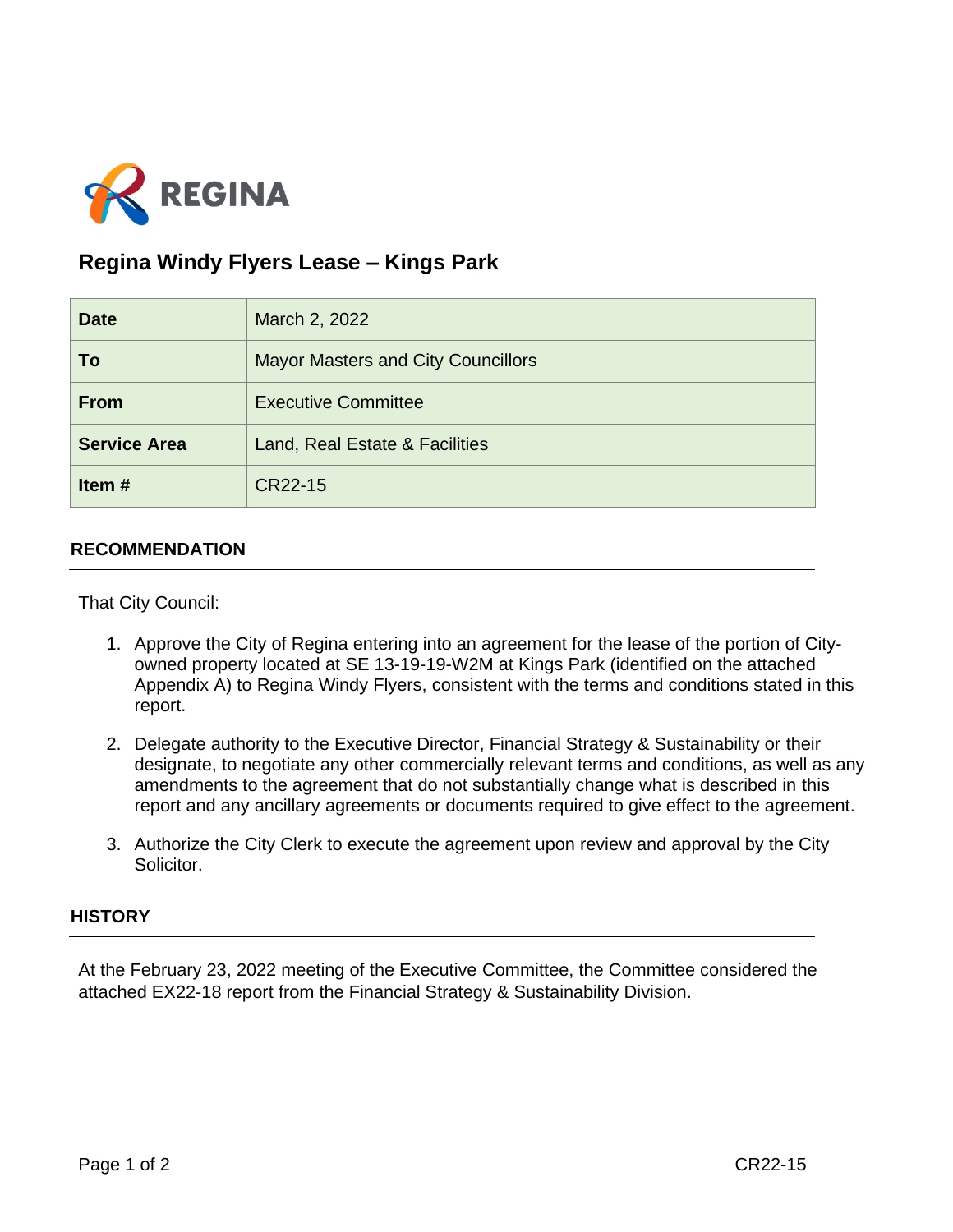

## **Regina Windy Flyers Lease – Kings Park**

| <b>Date</b>         | March 2, 2022                             |
|---------------------|-------------------------------------------|
| To                  | <b>Mayor Masters and City Councillors</b> |
| <b>From</b>         | <b>Executive Committee</b>                |
| <b>Service Area</b> | Land, Real Estate & Facilities            |
| Item#               | CR22-15                                   |

## **RECOMMENDATION**

That City Council:

- 1. Approve the City of Regina entering into an agreement for the lease of the portion of Cityowned property located at SE 13-19-19-W2M at Kings Park (identified on the attached Appendix A) to Regina Windy Flyers, consistent with the terms and conditions stated in this report.
- 2. Delegate authority to the Executive Director, Financial Strategy & Sustainability or their designate, to negotiate any other commercially relevant terms and conditions, as well as any amendments to the agreement that do not substantially change what is described in this report and any ancillary agreements or documents required to give effect to the agreement.
- 3. Authorize the City Clerk to execute the agreement upon review and approval by the City Solicitor.

## **HISTORY**

At the February 23, 2022 meeting of the Executive Committee, the Committee considered the attached EX22-18 report from the Financial Strategy & Sustainability Division.